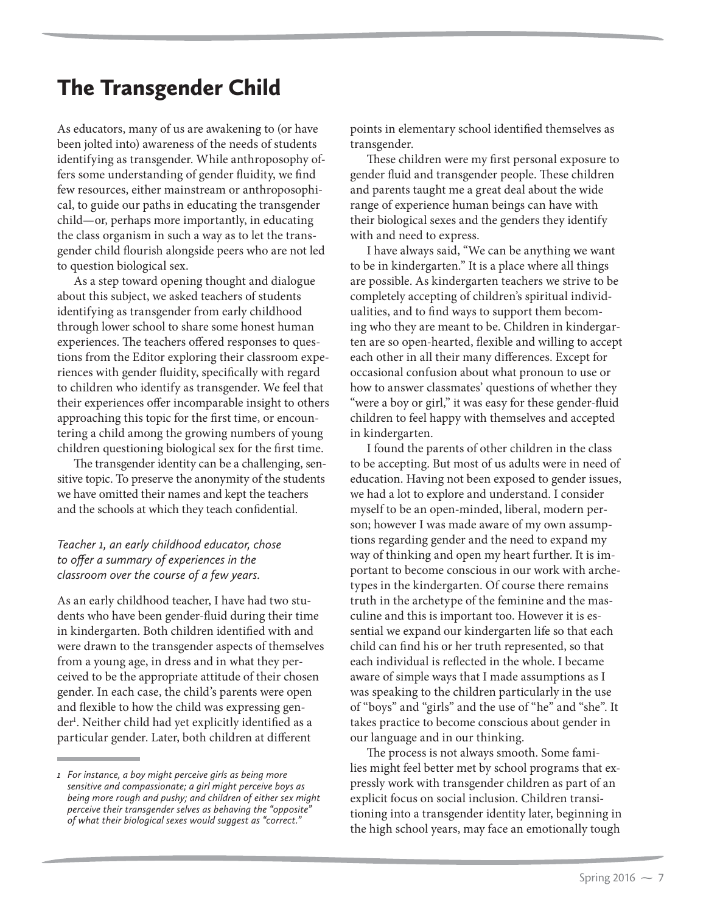# The Transgender Child

As educators, many of us are awakening to (or have been jolted into) awareness of the needs of students identifying as transgender. While anthroposophy offers some understanding of gender fluidity, we find few resources, either mainstream or anthroposophical, to guide our paths in educating the transgender child—or, perhaps more importantly, in educating the class organism in such a way as to let the transgender child flourish alongside peers who are not led to question biological sex.

As a step toward opening thought and dialogue about this subject, we asked teachers of students identifying as transgender from early childhood through lower school to share some honest human experiences. The teachers offered responses to questions from the Editor exploring their classroom experiences with gender fluidity, specifically with regard to children who identify as transgender. We feel that their experiences offer incomparable insight to others approaching this topic for the first time, or encountering a child among the growing numbers of young children questioning biological sex for the first time.

The transgender identity can be a challenging, sensitive topic. To preserve the anonymity of the students we have omitted their names and kept the teachers and the schools at which they teach confidential.

### *Teacher 1, an early childhood educator, chose to offer a summary of experiences in the classroom over the course of a few years.*

As an early childhood teacher, I have had two students who have been gender-fluid during their time in kindergarten. Both children identified with and were drawn to the transgender aspects of themselves from a young age, in dress and in what they perceived to be the appropriate attitude of their chosen gender. In each case, the child's parents were open and flexible to how the child was expressing gender<sup>1</sup>. Neither child had yet explicitly identified as a particular gender. Later, both children at different

points in elementary school identified themselves as transgender.

These children were my first personal exposure to gender fluid and transgender people. These children and parents taught me a great deal about the wide range of experience human beings can have with their biological sexes and the genders they identify with and need to express.

I have always said, "We can be anything we want to be in kindergarten." It is a place where all things are possible. As kindergarten teachers we strive to be completely accepting of children's spiritual individualities, and to find ways to support them becoming who they are meant to be. Children in kindergarten are so open-hearted, flexible and willing to accept each other in all their many differences. Except for occasional confusion about what pronoun to use or how to answer classmates' questions of whether they "were a boy or girl," it was easy for these gender-fluid children to feel happy with themselves and accepted in kindergarten.

I found the parents of other children in the class to be accepting. But most of us adults were in need of education. Having not been exposed to gender issues, we had a lot to explore and understand. I consider myself to be an open-minded, liberal, modern person; however I was made aware of my own assumptions regarding gender and the need to expand my way of thinking and open my heart further. It is important to become conscious in our work with archetypes in the kindergarten. Of course there remains truth in the archetype of the feminine and the masculine and this is important too. However it is essential we expand our kindergarten life so that each child can find his or her truth represented, so that each individual is reflected in the whole. I became aware of simple ways that I made assumptions as I was speaking to the children particularly in the use of "boys" and "girls" and the use of "he" and "she". It takes practice to become conscious about gender in our language and in our thinking.

The process is not always smooth. Some families might feel better met by school programs that expressly work with transgender children as part of an explicit focus on social inclusion. Children transitioning into a transgender identity later, beginning in the high school years, may face an emotionally tough

*<sup>1</sup> For instance, a boy might perceive girls as being more sensitive and compassionate; a girl might perceive boys as being more rough and pushy; and children of either sex might perceive their transgender selves as behaving the "opposite" of what their biological sexes would suggest as "correct."*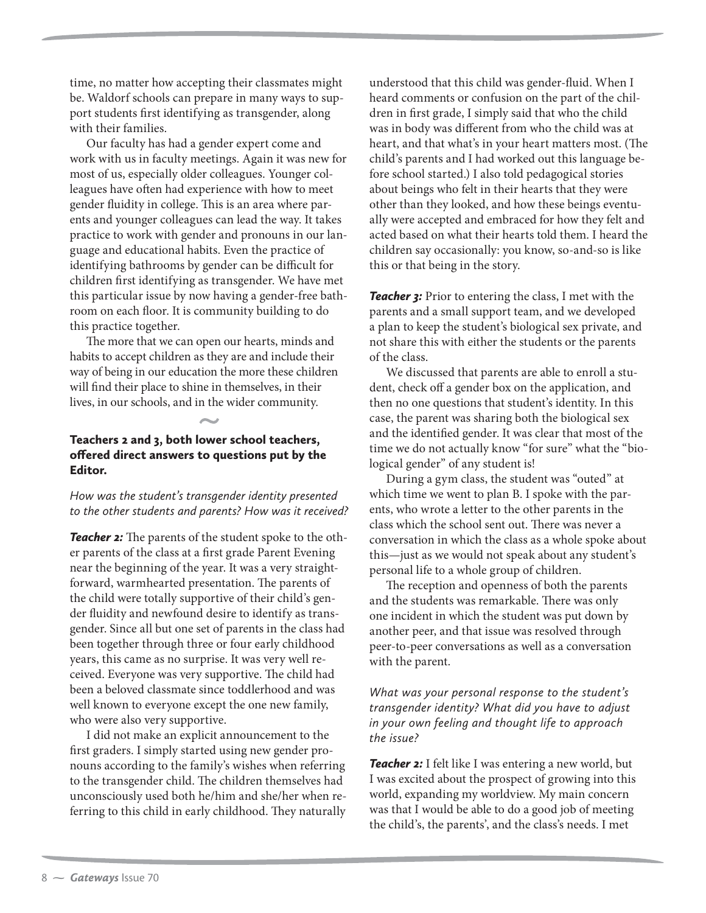time, no matter how accepting their classmates might be. Waldorf schools can prepare in many ways to support students first identifying as transgender, along with their families.

Our faculty has had a gender expert come and work with us in faculty meetings. Again it was new for most of us, especially older colleagues. Younger colleagues have often had experience with how to meet gender fluidity in college. This is an area where parents and younger colleagues can lead the way. It takes practice to work with gender and pronouns in our language and educational habits. Even the practice of identifying bathrooms by gender can be difficult for children first identifying as transgender. We have met this particular issue by now having a gender-free bathroom on each floor. It is community building to do this practice together.

The more that we can open our hearts, minds and habits to accept children as they are and include their way of being in our education the more these children will find their place to shine in themselves, in their lives, in our schools, and in the wider community.

### Teachers 2 and 3, both lower school teachers, offered direct answers to questions put by the Editor.

*How was the student's transgender identity presented to the other students and parents? How was it received?*

**Teacher 2:** The parents of the student spoke to the other parents of the class at a first grade Parent Evening near the beginning of the year. It was a very straightforward, warmhearted presentation. The parents of the child were totally supportive of their child's gender fluidity and newfound desire to identify as transgender. Since all but one set of parents in the class had been together through three or four early childhood years, this came as no surprise. It was very well received. Everyone was very supportive. The child had been a beloved classmate since toddlerhood and was well known to everyone except the one new family, who were also very supportive.

I did not make an explicit announcement to the first graders. I simply started using new gender pronouns according to the family's wishes when referring to the transgender child. The children themselves had unconsciously used both he/him and she/her when referring to this child in early childhood. They naturally

understood that this child was gender-fluid. When I heard comments or confusion on the part of the children in first grade, I simply said that who the child was in body was different from who the child was at heart, and that what's in your heart matters most. (The child's parents and I had worked out this language before school started.) I also told pedagogical stories about beings who felt in their hearts that they were other than they looked, and how these beings eventually were accepted and embraced for how they felt and acted based on what their hearts told them. I heard the children say occasionally: you know, so-and-so is like this or that being in the story.

**Teacher 3:** Prior to entering the class, I met with the parents and a small support team, and we developed a plan to keep the student's biological sex private, and not share this with either the students or the parents of the class.

We discussed that parents are able to enroll a student, check off a gender box on the application, and then no one questions that student's identity. In this case, the parent was sharing both the biological sex and the identified gender. It was clear that most of the time we do not actually know "for sure" what the "biological gender" of any student is!

During a gym class, the student was "outed" at which time we went to plan B. I spoke with the parents, who wrote a letter to the other parents in the class which the school sent out. There was never a conversation in which the class as a whole spoke about this—just as we would not speak about any student's personal life to a whole group of children.

The reception and openness of both the parents and the students was remarkable. There was only one incident in which the student was put down by another peer, and that issue was resolved through peer-to-peer conversations as well as a conversation with the parent.

*What was your personal response to the student's transgender identity? What did you have to adjust in your own feeling and thought life to approach the issue?*

**Teacher 2:** I felt like I was entering a new world, but I was excited about the prospect of growing into this world, expanding my worldview. My main concern was that I would be able to do a good job of meeting the child's, the parents', and the class's needs. I met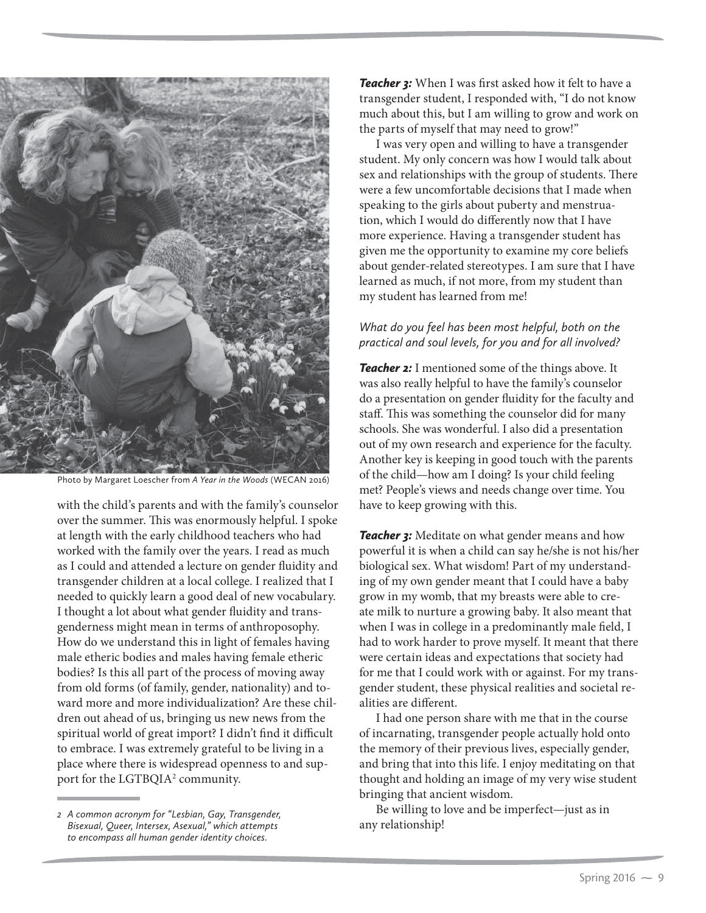

Photo by Margaret Loescher from *A Year in the Woods* (WECAN 2016)

with the child's parents and with the family's counselor over the summer. This was enormously helpful. I spoke at length with the early childhood teachers who had worked with the family over the years. I read as much as I could and attended a lecture on gender fluidity and transgender children at a local college. I realized that I needed to quickly learn a good deal of new vocabulary. I thought a lot about what gender fluidity and transgenderness might mean in terms of anthroposophy. How do we understand this in light of females having male etheric bodies and males having female etheric bodies? Is this all part of the process of moving away from old forms (of family, gender, nationality) and toward more and more individualization? Are these children out ahead of us, bringing us new news from the spiritual world of great import? I didn't find it difficult to embrace. I was extremely grateful to be living in a place where there is widespread openness to and support for the LGTBQIA<sup>2</sup> community.

**Teacher 3:** When I was first asked how it felt to have a transgender student, I responded with, "I do not know much about this, but I am willing to grow and work on the parts of myself that may need to grow!"

I was very open and willing to have a transgender student. My only concern was how I would talk about sex and relationships with the group of students. There were a few uncomfortable decisions that I made when speaking to the girls about puberty and menstruation, which I would do differently now that I have more experience. Having a transgender student has given me the opportunity to examine my core beliefs about gender-related stereotypes. I am sure that I have learned as much, if not more, from my student than my student has learned from me!

## *What do you feel has been most helpful, both on the practical and soul levels, for you and for all involved?*

**Teacher 2:** I mentioned some of the things above. It was also really helpful to have the family's counselor do a presentation on gender fluidity for the faculty and staff. This was something the counselor did for many schools. She was wonderful. I also did a presentation out of my own research and experience for the faculty. Another key is keeping in good touch with the parents of the child—how am I doing? Is your child feeling met? People's views and needs change over time. You have to keep growing with this.

**Teacher 3:** Meditate on what gender means and how powerful it is when a child can say he/she is not his/her biological sex. What wisdom! Part of my understanding of my own gender meant that I could have a baby grow in my womb, that my breasts were able to create milk to nurture a growing baby. It also meant that when I was in college in a predominantly male field, I had to work harder to prove myself. It meant that there were certain ideas and expectations that society had for me that I could work with or against. For my transgender student, these physical realities and societal realities are different.

I had one person share with me that in the course of incarnating, transgender people actually hold onto the memory of their previous lives, especially gender, and bring that into this life. I enjoy meditating on that thought and holding an image of my very wise student bringing that ancient wisdom.

Be willing to love and be imperfect—just as in any relationship!

*<sup>2</sup> A common acronym for "Lesbian, Gay, Transgender, Bisexual, Queer, Intersex, Asexual," which attempts to encompass all human gender identity choices.*